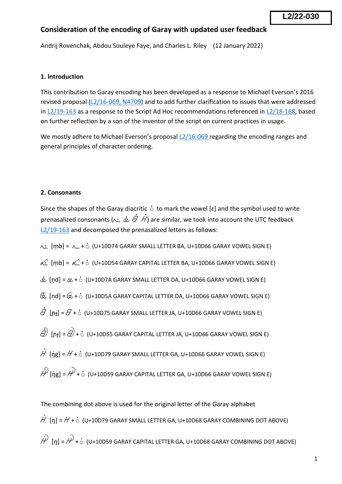# **Consideration of the encoding of Garay with updated user feedback**

Andrij Rovenchak, Abdou Souleye Faye, and Charles L. Riley (12 January 2022)

## **1. Introduction**

This contribution to Garay encoding has been developed as a response to Michael Everson's 2016 revised proposal [\(L2/16-069, N4709\)](https://unicode.org/L2/L2016/16069-n4709-garay-revision.pdf) and to add further clarification to issues that were addressed in [L2/19-163](https://www.unicode.org/L2/L2019/19163-garay-fdbk.pdf) as a response to the Script Ad Hoc recommendations referenced in [L2/18-168,](https://www.unicode.org/L2/L2018/18168-script-rec.pdf) based on further reflection by a son of the inventor of the script on current practices in usage.

We mostly adhere to Michael Everson's proposal [L2/16-069](https://unicode.org/L2/L2016/16069-n4709-garay-revision.pdf) regarding the encoding ranges and general principles of character ordering.

## **2. Consonants**

Since the shapes of the Garay diacritic  $\dot{\circ}$  to mark the vowel [ɛ] and the symbol used to write prenasalized consonants ( $\sim \dot{\vec{\alpha}} \dot{\vec{\alpha}}$  / $\dot{\vec{\beta}}$ ) are similar, we took into account the UTC feedback [L2/19-163](https://www.unicode.org/L2/L2019/19163-garay-fdbk.pdf) and decomposed the prenasalized letters as follows:

 $\angle$  [mb] =  $\angle$  +  $\circ$  (U+10D74 GARAY SMALL LETTER BA, U+10D66 GARAY VOWEL SIGN E)

 $\overline{\mathcal{L}}$   $[mb] = \mathcal{L} + c$  (U+10D54 GARAY CAPITAL LETTER BA, U+10D66 GARAY VOWEL SIGN E)

 $\dot{\&}$  [nd] =  $\&$  +  $\dot{\circ}$  (U+10D7A GARAY SMALL LETTER DA, U+10D66 GARAY VOWEL SIGN E)

 $\widehat{\mathbb{G}}$  [nd] =  $\widehat{\mathbb{G}}$  +  $\stackrel{1}{\circ}$  (U+10D5A GARAY CAPITAL LETTER DA, U+10D66 GARAY VOWEL SIGN E)

 ${\dot {\mathcal G}}$   $[{\mathsf n}_{{\mathsf t}}]$  =  ${\mathcal G}$  +  ${\dot {\mathsf c}}$  (U+10D75 GARAY SMALL LETTER JA, U+10D66 GARAY VOWEL SIGN E)

 $\hat{D}$  [nɟ] =  $\hat{D}$  +  $\dot{\circ}$  (U+10D55 GARAY CAPITAL LETTER JA, U+10D66 GARAY VOWEL SIGN E)

 $\dot{\mathcal{H}}$  [ŋ̓g] =  $\mathcal{H}$  +  $\dot{\circ}$  (U+10D79 GARAY SMALL LETTER GA, U+10D66 GARAY VOWEL SIGN E)

 $\hat{\mathcal{P}}$  [nn =  $\hat{\mathcal{P}}$  +  $\dot{\circ}$  (U+10D59 GARAY CAPITAL LETTER GA, U+10D66 GARAY VOWEL SIGN E)

The combining dot above is used for the original letter of the Garay alphabet  $\dot{H}$  [ŋ] =  $H$  +  $\dot{\circ}$  (U+10D79 GARAY SMALL LETTER GA, U+10D68 GARAY COMBINING DOT ABOVE)

 $\hat{\mathcal{W}}$  [n] =  $\hat{\mathcal{W}}$  +  $\dot{\circ}$  (U+10D59 GARAY CAPITAL LETTER GA, U+10D68 GARAY COMBINING DOT ABOVE)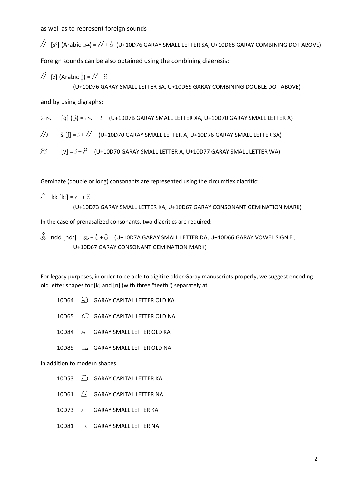as well as to represent foreign sounds

 $\dot{}/\dot{\ell}$  [sˤ] (Arabic ص = // + $\dot{\circ}$  (U+10D76 GARAY SMALL LETTER SA, U+10D68 GARAY COMBINING DOT ABOVE)

Foreign sounds can be also obtained using the combining diaeresis:

 $\overline{7}$  [z] (Arabic \_) =  $\overline{7}$  +  $\overline{6}$ (U+10D76 GARAY SMALL LETTER SA, U+10D69 GARAY COMBINING DOUBLE DOT ABOVE)

and by using digraphs:

@ x [q] (ق = (x + @ (U+10D7B GARAY SMALL LETTER XA, U+10D70 GARAY SMALL LETTER A)

 $\frac{1}{5}$   $\frac{1}{5}$   $\frac{1}{10}$  =  $\frac{1}{7}$  (U+10D70 GARAY SMALL LETTER A, U+10D76 GARAY SMALL LETTER SA)

 $\beta$  [v] =  $\beta$  +  $\beta$  (U+10D70 GARAY SMALL LETTER A, U+10D77 GARAY SMALL LETTER WA)

Geminate (double or long) consonants are represented using the circumflex diacritic:

$$
\hat{\angle} \quad \text{kk [k:]} = \angle + \hat{\circ}
$$
\n
$$
(U+10D73 \text{ GARAY SMALL LEFTER KA, U+10D67 \text{ GARAY CONSONANT GEMINATION MARK})
$$

In the case of prenasalized consonants, two diacritics are required:

 $\hat{\mathcal{L}}$  ndd [ndː] =  $\infty + \hat{C} + \hat{C}$  (U+10D7A GARAY SMALL LETTER DA, U+10D66 GARAY VOWEL SIGN E , U+10D67 GARAY CONSONANT GEMINATION MARK)

For legacy purposes, in order to be able to digitize older Garay manuscripts properly, we suggest encoding old letter shapes for [k] and [n] (with three "teeth") separately at

- 10D64  $\omega$  GARAY CAPITAL LETTER OLD KA
- 10D65 C GARAY CAPITAL LETTER OLD NA
- 10D84  $\mu$  GARAY SMALL LETTER OLD KA
- 10D85 مند GARAY SMALL LETTER OLD NA

### in addition to modern shapes

- 10D53  $\bigcirc$  GARAY CAPITAL LETTER KA
- 10D61  $\bigcap$  GARAY CAPITAL LETTER NA
- 10D73 L GARAY SMALL LETTER KA
- 10D81  $\rightarrow$  GARAY SMALL LETTER NA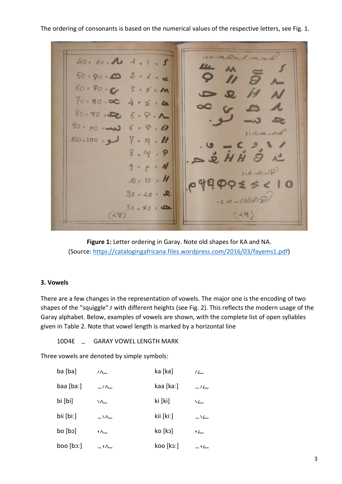The ordering of consonants is based on the numerical values of the respective letters, see Fig. 1.

 $.54-181846453$  $40 = 20 = 10 + 1 = 1$  $50 = 90 = 0$   $2 = 10$  $60 = 90 = 66$   $3 = 5 = 10$  $70 = 90 = 00$   $4 = 50$  $80 - 40 = 5 = 5 = 8.1$  $90 = 90 = 0$  6 = 9 = 0  $31111461111$  $100 = 100 = 11$   $7 = 8 = 11$  $8 - 9$  $9 = p = N$  $10 = 10 = H$  $20 = 40 = 2$  $(14)$   $30 = 50 = 0$ 

**Figure 1:** Letter ordering in Garay. Note old shapes for KA and NA. (Source: [https://catalogingafricana.files.wordpress.com/2016/03/fayems1.pdf\)](https://catalogingafricana.files.wordpress.com/2016/03/fayems1.pdf)

## **3. Vowels**

There are a few changes in the representation of vowels. The major one is the encoding of two shapes of the "squiggle"  $\zeta$  with different heights (see Fig. 2). This reflects the modern usage of the Garay alphabet. Below, examples of vowels are shown, with the complete list of open syllables given in Table 2. Note that vowel length is marked by a horizontal line

10D4E \_ GARAY VOWEL LENGTH MARK

Three vowels are denoted by simple symbols:

| ba [ba]       | $\wedge$                 | ka [ka]   | 1/                       |
|---------------|--------------------------|-----------|--------------------------|
| $baa$ $ ba$ : | $\overline{\phantom{a}}$ | kaa [kaː] | $-$ / $\sqrt{ }$         |
| bi [bi]       | ╲┸                       | ki [ki]   | $\sqrt{2}$               |
| bii [biː]     | $\overline{\phantom{a}}$ | kii [kiː] | $\overline{\phantom{a}}$ |
| [cb]          | $\sim$                   | ko [kɔ]   | $^{\prime}$              |
| $bool$ [bo:]  | $\overline{\phantom{a}}$ | koo [kɔː] | $\overline{\phantom{a}}$ |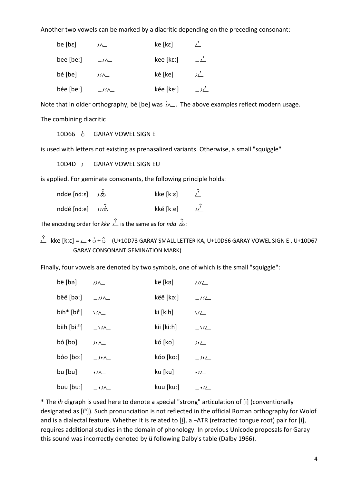Another two vowels can be marked by a diacritic depending on the preceding consonant:

| be [be]   | 一                        | ke [kε]   |                |
|-----------|--------------------------|-----------|----------------|
| bee [beː] | $\overline{\phantom{0}}$ | kee [kɛː] | $-\angle$      |
| bé [be]   | $35\Delta$               | ké [ke]   | $\mathcal{L}'$ |
| bée [beː] | $\rightarrow$            | kée [keː] | $\mathcal{U}$  |

Note that in older orthography, bé [be] was  $\lambda$ . The above examples reflect modern usage. The combining diacritic

10D66  $\dot{\circ}$  GARAY VOWEL SIGN E

is used with letters not existing as prenasalized variants. Otherwise, a small "squiggle"

10D4D / GARAY VOWEL SIGN EU

is applied. For geminate consonants, the following principle holds:

 $n$ dde [ndːɛ]  $\hat{d}$  kke [kːɛ]  $\hat{L}$ nddé [ndːe]  $\hat{z}$  kké [kːe]  $\hat{z}$ 

The encoding order for *kke*  $\hat{i}$  is the same as for *ndd*  $\hat{\hat{\mathcal{L}}}$ :

 $\hat{L}$  kke [kːɛ] =  $\angle$  +  $\dot{G}$  +  $\hat{G}$  (U+10D73 GARAY SMALL LETTER KA, U+10D66 GARAY VOWEL SIGN E , U+10D67 GARAY CONSONANT GEMINATION MARK)

Finally, four vowels are denoted by two symbols, one of which is the small "squiggle":

| bë [bə]                    | $15\Delta$               | kë [kə]    | 115L                                              |
|----------------------------|--------------------------|------------|---------------------------------------------------|
| bëë [bəː]                  | $\frac{1}{2}$            | këë [kəː]  | $\frac{1}{2}$                                     |
| bih* $[bi^h]$              | $\sqrt{\Lambda}$         | ki [kih]   | \SL_                                              |
| biih $[bi:$ <sup>h</sup> ] | $\overline{\phantom{a}}$ | kii [kiːh] | $\sqrt{2}$                                        |
| bó [bo]                    | 5.1                      | kó [ko]    | 5.1                                               |
| bio [bo]                   | $\rightarrow$ $\sim$     | kóo [koː]  | $\overline{\phantom{0}}$ $\overline{\phantom{0}}$ |
| bu [bu]                    | $55\Delta$               | ku [ku]    | $55+$                                             |
| $b$ uu $[b$ u: $]$         | $\overline{\phantom{0}}$ | kuu [kuː]  | $-$ '                                             |

\* The *ih* digraph is used here to denote a special "strong" articulation of [i] (conventionally designated as [iʰ]). Such pronunciation is not reflected in the official Roman orthography for Wolof and is a dialectal feature. Whether it is related to [i], a -ATR (retracted tongue root) pair for [i], requires additional studies in the domain of phonology. In previous Unicode proposals for Garay this sound was incorrectly denoted by ü following Dalby's table (Dalby 1966).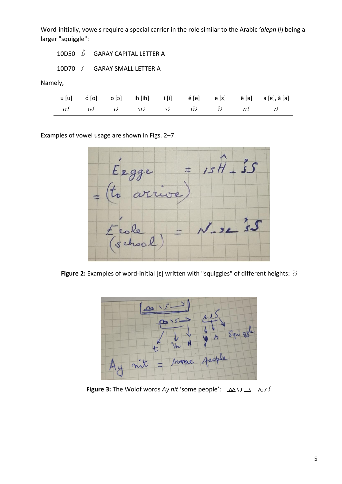Word-initially, vowels require a special carrier in the role similar to the Arabic 'aleph (1) being a larger "squiggle":

10D50  $\hat{y}$  GARAY CAPITAL LETTER A

10D70  $\sqrt{ }$  GARAY SMALL LETTER A

Namely,

|  |  |  |  | u [u] ό [o] o [ɔ] ih [ih] i [i] é [e] e [ɛ] ë [ə] a [ɐ], à [a] |
|--|--|--|--|----------------------------------------------------------------|
|  |  |  |  | کے کرے کو کوئی کی کرت کر کرو کرو کرو                           |

Examples of vowel usage are shown in Figs. 2-7.



**Figure 2:** Examples of word-initial [ɛ] written with "squiggles" of different heights:  $\frac{1}{2}$ 



**Figure 3:** The Wolof words Ay nit 'some people': Δ  $\Delta$  \  $\lambda$   $\Delta$  \  $\Delta$  /  $\lambda$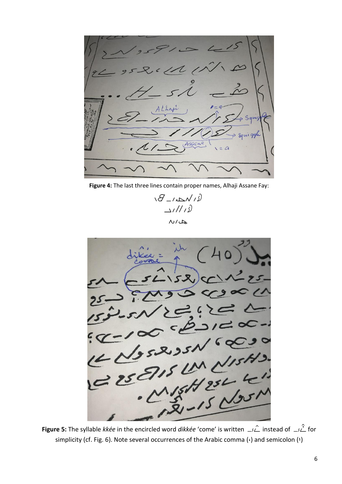1. Assanc  $\overline{a}$  $\overline{2}$ 

**Figure 4:** The last three lines contain proper names, Alhaji Assane Fay:

 $i\partial$   $\Delta$  $211/12$  $\sim$ / $\sim$ 



**Figure 5:** The syllable *kkée* in the encircled word *dikkée* 'come' is written  $\Rightarrow \hat{\triangle}$  instead of  $\Rightarrow \hat{\triangle}$  for simplicity (cf. Fig. 6). Note several occurrences of the Arabic comma (·) and semicolon (!)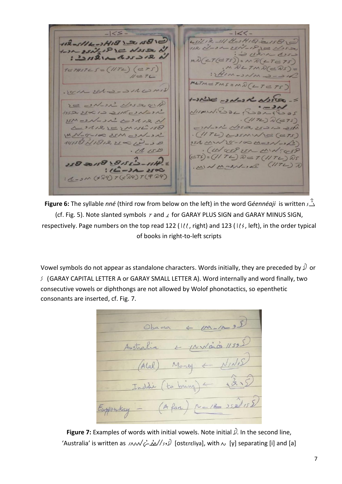$122 -$ 45212-511 H-2H1E12158 112-5116-24181215810 - 25N-1830 Noso  $1/2$   $\sqrt{1-2}$  $SL(2)$   $C = N25$  $213212$  $331521$  $T(\epsilon = TS)) = N\mathcal{R}(\epsilon = TS)$  $T \in \mathcal{F} \mathcal{U} \mathcal{S} \mathcal{T} \mathcal{L} \mathcal{S} = (1/T \mathcal{L}) (\mathcal{L} \mathcal{F} \mathcal{S})$  $U = T L$  $METM = TMS = M\hat{N}$ . I am est - - - 11 comis while was absent  $3e$  -  $N-2\lambda^2$   $N$  $NismN.S. 32.$  $19502250122215221$  $\cdot$  (117L)  $\sqrt[3]{(e75)}$  $NSM = 2\sqrt{2\Delta}$ دادى جدى كادرارو  $221222)$  $M15L158$ MN-8-100 25M CON-OR  $. (117L)$  assumpte (eTS)  $19158 218250$ 151 MW 5-100 M-2N-1/3) · (Western MINEGSP  $.1115D$  $(275) = (1174)$   $0 = T(1174)$   $0s$ 258 20158 \8155'>-55H. RCJTII) BacherMW.  $112 - 322200$  $2M(729)7(729)T(929)$ 

**Figure 6:** The syllable *nné* (third row from below on the left) in the word G*éennéaji* is written AÜ (cf. Fig. 5). Note slanted symbols  $\tau$  and  $\Delta$  for GARAY PLUS SIGN and GARAY MINUS SIGN, respectively. Page numbers on the top read 122 ( $1/2$ , right) and 123 ( $1/3$ , left), in the order typical of books in right-to-left scripts

Vowel symbols do not appear as standalone characters. Words initially, they are preceded by  $\hat{y}$  or  $\sqrt{s}$  (GARAY CAPITAL LETTER A or GARAY SMALL LETTER A). Word internally and word finally, two consecutive vowels or diphthongs are not allowed by Wolof phonotactics, so epenthetic consonants are inserted, cf. Fig. 7.

Ohama Austra Money Inddi to bring  $-14$   $35811$ Eupoukay

**Figure 7:** Examples of words with initial vowels. Note initial  $\Omega$ . In the second line, 'Australia' is written as ayilÊÌsAU) [ostɛrɛliya], with y [y] separating [i] and [a]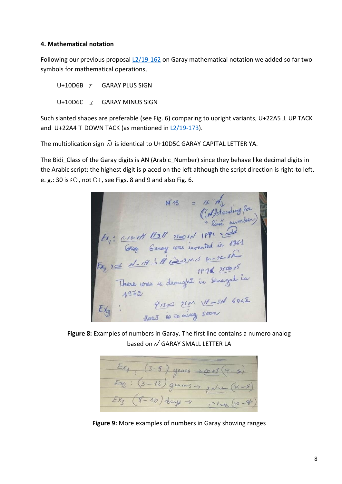## **4. Mathematical notation**

Following our previous proposal [L2/19-162](http://www.unicode.org/L2/L2019/19162-garay-math.pdf) on Garay mathematical notation we added so far two symbols for mathematical operations,

U+10D6B  $\tau$  GARAY PLUS SIGN U+10D6C  $\angle$  GARAY MINUS SIGN

Such slanted shapes are preferable (see Fig. 6) comparing to upright variants, U+22A5 ⊥ UP TACK and U+22A4 ⊤ DOWN TACK (as mentioned in [L2/19-173\)](http://www.unicode.org/L2/L2019/19173-script-adhoc-recs.pdf).

The multiplication sign  $\Omega$  is identical to U+10D5C GARAY CAPITAL LETTER YA.

The Bidi Class of the Garay digits is AN (Arabic Number) since they behave like decimal digits in the Arabic script: the highest digit is placed on the left although the script direction is right-to left, e. g.: 30 is  $40$ , not  $04$ , see Figs. 8 and 9 and also Fig. 6.

 $x^2$  13 = 15 My<br>
(A) standing for<br>
(A) standing for<br>  $f(x)$ :  $\frac{1}{\frac{1}{2}}$  10 of  $\frac{1}{2}$  12 = 1 of 1981<br>
(Fx,  $x = \frac{1}{\frac{1}{2}}$  of  $\frac{1}{2}$  in secreted in 1981<br>
Fx,  $x = \frac{1}{\frac{1}{2}}$  of  $\frac{1}{2}$  1994  $\frac{1}{2}$ <br>
There w

**Figure 8:** Examples of numbers in Garay. The first line contains a numero analog based on  $\sqrt{}$  GARAY SMALL LETTER LA

 $E_{X_1}$  (3-5) years  $\Rightarrow \text{ }e^{x}e^{(9-x)}$ <br>  $E_{X_2}$  : (3-12) grams  $\Rightarrow$   $e^{x}e^{(9-x)}$ <br>  $E_{X_3}$  (8-10) days  $\Rightarrow$   $\Rightarrow$  1  $\Rightarrow$  (10-8)

**Figure 9:** More examples of numbers in Garay showing ranges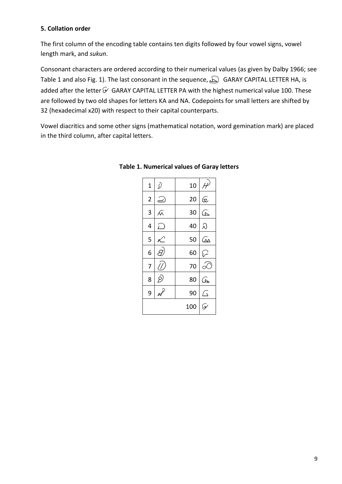# **5. Collation order**

The first column of the encoding table contains ten digits followed by four vowel signs, vowel length mark, and *sukun*.

Consonant characters are ordered according to their numerical values (as given by Dalby 1966; see Table 1 and also Fig. 1). The last consonant in the sequence,  $\bigcirc$  GARAY CAPITAL LETTER HA, is added after the letter  $\mathcal G$  GARAY CAPITAL LETTER PA with the highest numerical value 100. These are followed by two old shapes for letters KA and NA. Codepoints for small letters are shifted by 32 (hexadecimal x20) with respect to their capital counterparts.

Vowel diacritics and some other signs (mathematical notation, word gemination mark) are placed in the third column, after capital letters.

| $\overline{1}$ |                             |
|----------------|-----------------------------|
| $\overline{2}$ | $\mathbf{\widehat{\omega}}$ |
| 3              | ⋐                           |
| 4              | λ                           |
| 5              | ൶                           |
| 6              | $\varphi$                   |
| 7              |                             |
| 8              |                             |
| 9              | J                           |
|                |                             |
|                |                             |

## **Table 1. Numerical values of Garay letters**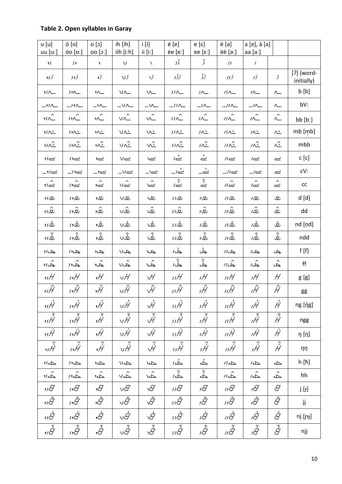# Table 2. Open syllables in Garay

| u [u]<br>$uu$ [uː]                   | ó [o]<br>óo [oː]          | $[c]$ 0<br>00 [0:]                   | ih [ih]<br>iih [iːh] | $i$ [i]<br>ii [i!]        | é[e]<br>ée [eː]                 | $e[\epsilon]$<br>ee [ $\varepsilon$ :] | ë [ə]<br>ëë [əː]         | a [ɐ], à [a]<br>aa [aː]   |                             |                          |
|--------------------------------------|---------------------------|--------------------------------------|----------------------|---------------------------|---------------------------------|----------------------------------------|--------------------------|---------------------------|-----------------------------|--------------------------|
| $\overline{\mathcal{L}}$             | ۶,                        | $\pmb{\mathsf{y}}$                   | $\sqrt{2}$           | X                         | ۇ د                             | $\zeta$                                | 75                       | $\prime$                  |                             |                          |
| کر د                                 | کرو د                     | کرو                                  | کری                  | $\sqrt{}$                 | کۇ د                            | کر گ                                   | کر در                    | 15                        | $\mathcal{S}_{\mathcal{S}}$ | [?] (word-<br>initially) |
| $55\triangle$                        | 52                        | $\lambda$                            | $V \wedge$           | $\mathsf{V}\mathsf{L}$    | $\mathcal{I}\mathcal{I}\Lambda$ | 一                                      | $15\Delta$               | $\prime\land\_\!\_$       | $\wedge\_$                  | b [b]                    |
| $-$ ' $\sim$                         | $\rightarrow$             | $\rightarrow \sim$                   | $-v \sim$            | $-\infty$                 | $\rightarrow$                   | $\overline{\phantom{a}}$               | $\frac{1}{2}$            | $\overline{\phantom{a}}$  | $\wedge\_$                  | bV:                      |
| $\hat{\mathcal{M}}$                  | $\hat{\mathcal{M}}$       | $\hat{\lambda}$                      | $v \hat{f}$          | $\hat{\mathcal{M}}$       | $\hat{M}$                       | $\hat{K}$                              | $\hat{M}$                | $\hat{\mathcal{M}}$       | $\hat{\frown}$              | bb [b]                   |
| 55 <sub>2</sub>                      | 522                       | $\lambda$                            | いん                   | $\sqrt{2}$                | $55\Lambda$                     | $\sqrt{2}$                             | $15 \wedge 2$            | $\sqrt{2}$                | $\wedge \underline{\cdot}$  | mb [mb]                  |
| $\overline{\mathfrak{c}}$            | $\overline{\mathfrak{c}}$ | $\hat{\mathcal{L}}$                  | $v \hat{v}$          | vî                        | 332                             | $\hat{M}$                              | $15\hat{v}$              | $\hat{v}$                 | ٨Î                          | mbb                      |
| $\sim$                               | ےور                       | $\approx$                            | $v =$                | Ń                         | نے د                            | $\stackrel{\cdot}{\simeq}$             | $\overline{\mathcal{B}}$ | $\overline{C}$            | $\rightleftharpoons$        | $c$ [c]                  |
| $\rightarrow \sim$                   | ے,ر_                      | –'—                                  | $v_-\$               | $\Rightarrow$             | نے د_                           | ––ं                                    | $\overline{\phantom{a}}$ | $-/-$                     | $\epsilon$                  | cV:                      |
| ےٗ,                                  | ےور                       | $\leftharpoondown$                   | v≙                   | $\hat{\epsilon}$          | ثے د                            | $\hat{\mathbb{E}}$                     | $m =$                    | $\hat{\simeq}$            | $\hat{\underline{\smile}}$  | cc                       |
| ري دو                                | تع∙د                      | 9叉                                   | vv                   | /ری                       | بعادد                           | ىع                                     | 15D                      | $\sqrt{\mathcal{L}}$      | ى                           | d [d]                    |
| ى دە                                 | ى دى                      | ى.<br>تار                            | vû                   | $\hat{\mathbb{R}}$        | 成立                              | نعگ                                    | 152                      | ۿۥ                        | $\hat{\mathfrak{L}}$        | dd                       |
| ىگ دو                                | ىغەد                      | ىغ,                                  | νά                   | \v                        | ىغى                             | ىغ د                                   | 152                      | νΦ                        | ﯩﻐ                          | nd [nd]                  |
| ر<br>بلادو                           | رچې د                     | <u>ئ</u> ى,                          | vĴ                   | 、、                        | و<br>رنگرور                     | و<br>تگ                                | و<br>معاد                | نگہ                       | $\hat{\dot{\mathcal{Z}}}$   | ndd                      |
| چك كرو                               | چك9ر                      | چك9                                  | 30                   | $\overline{z}$            | جڈ،                             | ڂ                                      | 15L                      | $\sqrt{2}$                | حك                          | f[f]                     |
| چ<br>رو                              | خاود                      | د.<br>چار                            | ی<br>هالا            | کہ؟                       | ڿۛٛؽ                            | ڿٛ                                     | $\hat{\mathcal{L}}$      | شہ<br>حما                 | ڿٛ                          | ff                       |
| ,,H                                  | ,,H                       | ,Н                                   | νH                   | $\forall$                 | ssН                             | sН                                     | ısH                      | ıH                        | H                           | g [g]                    |
| ,,Ĥ                                  | s,Ĥ                       | ,Ĥ                                   | vĤ                   | $\hat{\mathcal{H}}$       | ssĤ                             | sĤ                                     | ısĤ                      | ıĤ                        | Ĥ                           | gg                       |
| ,                                    | $\vec{H}$                 | $\vec{H}$                            | $\vec{v}$            | $\vec{v}$                 | ssĤ                             | s Ĥ                                    | $\vec{H}$                | $\vec{H}$                 | Ĥ                           | ng [ŋp]                  |
| $,$ $\hat{\hat{\mathcal{H}}}$        | $\hat{\hat{\mathcal{H}}}$ | $,\hat{\hat{\mathcal{H}}}$           | vĤ                   | $\hat{\vec{\mathcal{H}}}$ | $\hat{\mathcal{H}}$             | $\hat{\vec{H}}$                        | $\hat{\hat{H}}$          | $\hat{\vec{H}}$           | $\hat{\vec{H}}$             | ngg                      |
| ,,Ĥ                                  | 5.0                       | $\dot{\mathcal{H}}$                  | νĤ                   | $\dot{\mathcal{H}}$       | ssH                             | sĤ                                     | ısĤ                      | ıĤ                        | Ĥ                           | ŋ [ŋ]                    |
| $\overline{\hat{\dot{\mathcal{H}}}}$ | $\hat{\hat{H}}$           | $\overline{\hat{\dot{\mathcal{H}}}}$ | $\overline{\hat{H}}$ | $\hat{\dot{\mathcal{H}}}$ | $\hat{\hat{\mathcal{H}}}$       | $\hat{\hat{\mathcal{H}}}$              | $\hat{\mu}$              | $\hat{\vec{H}}$           | $\hat{\dot{\mathcal{H}}}$   | ŋŋ                       |
| حمرد                                 | حمدد                      | A۰                                   | $\Delta$             | $\Delta$                  | 公                               | ふ                                      | $\Delta N$               | $\Delta$                  | Ą                           | h [ħ]                    |
| $\hat{\mathbb{L}}$ رو                | ふふ                        | ش,                                   | $\hat{\mathbb{A}}$   | $\hat{\Delta}$            | ふ                               | ݢ                                      | $\hat{\mathbb{A}}$       | $\hat{\hat{\mathbb{A}}}$  | خم                          | hh                       |
| וציי                                 | 5,J                       | $\mathcal{\theta}$                   | $\vee\mathcal{G}$    | $\sqrt{2}$                | ssI                             | sЯ                                     | 1sJ                      | ıθ                        | $\mathcal G$                | j [ɟ]                    |
| ,,Ĝ                                  | s,Ĝ                       | ,Ĝ                                   | vÂ                   | $\hat{\mathcal{G}}$       | ssÂ                             | ιĜ                                     | ısĜ                      | ιĜ                        | Ĝ                           | jj                       |
| ,,À                                  | $\vec{\mathcal{G}}$       | $\dot{\mathcal{G}}$                  | vĠ                   | $\vec{\vartheta}$         | ssÀ                             | ιĠ                                     | ısĞ                      | ιĠ                        | Ġ                           | nj [ɲɟ]                  |
| $,$ is $\hat{\dot{\mathcal{G}}}$     | $\hat{\dot{\mathcal{G}}}$ | $\hat{\dot{\mathcal{G}}^{}}$         | vĜ                   | $\hat{\vec{\mathcal{G}}}$ | ssĜ                             | şĜ                                     | ısĜ                      | $\hat{\dot{\mathcal{G}}}$ | $\hat{\dot{\mathcal{G}}}$   | njj                      |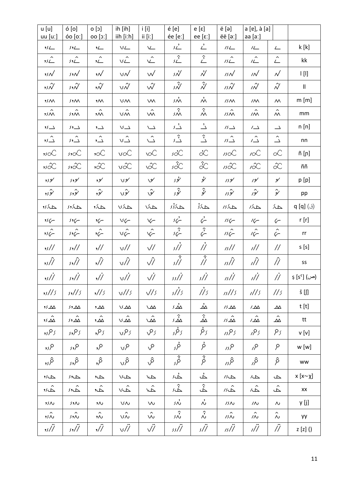| u [u]<br>$uu$ [uː]         | ó [o]<br>óo [oː]          | $[c]$ 0<br>$00$ [co]        | ih [ih]<br>iih [iːh]               | $i$ [i]<br>ii $[i!]$   | é [e]<br>ée [eː]    | e [ε]<br>ee [ $\varepsilon$ :] | ë [ə]<br>ëë [əː]            | a [ɐ], à [a]<br>aa $[a.]$             |                                                   |                           |
|----------------------------|---------------------------|-----------------------------|------------------------------------|------------------------|---------------------|--------------------------------|-----------------------------|---------------------------------------|---------------------------------------------------|---------------------------|
| ك د                        | 外                         | $2-$                        | VL                                 | $\underline{\vee}$     | $\sum$              | $\overset{.}{\leftharpoonup}$  | 15L                         | $L$                                   | $\sqrt{2}$                                        | k[k]                      |
| $\hat{\phantom{a}}$<br>5/2 | $\hat{\phantom{a}}$<br>52 | L                           | $\hat{\phantom{a}}$<br>$V_{\perp}$ | $\hat{\angle}$         | $\hat{\mathcal{L}}$ | $\hat{\mathcal{L}}$            | $\hat{\phantom{a}}$<br>15L  | $\hat{L}$                             | $\hat{\angle}$                                    | kk                        |
| $, \mathcal{W}$            | ∕ردر                      | $,\mathcal{N}$              | vN                                 | $\vee$                 | s N                 | $\mathcal{N}$                  | 15N                         | $\overline{M}$                        | $\sqrt{}$                                         | $\mathsf{I}[\mathsf{II}]$ |
| איני                       | رد,                       | $,\hat{ \mathcal{N}}$       | $v\mathcal{N}$                     | Ŵ                      | s Ñ                 | $\hat{\mathcal{N}}$            | $\hat{W}$                   | $\hat{W}$                             | $\hat{\mathcal{N}}$                               | $\mathbf{II}$             |
| $55M$                      | 52M                       | $\mathcal{M}$               | <b>VM</b>                          | W                      | $\dot{M}$           | $\dot{\hat{}}$                 | 15M                         | $\overline{M}$                        | $\sim$                                            | m[m]                      |
| 55M                        | /外へ                       | $\mathsf{M}$                | vŵ                                 | $\mathsf{W}\mathsf{M}$ | sŵ                  | $\hat{\mathcal{X}}$            | 15M                         | $\hat{\phantom{a}}$<br>$\overline{M}$ | $\hat{\phantom{1}}$<br>$\boldsymbol{\mathcal{M}}$ | mm                        |
| $\sqrt{2}$                 | $\mathcal{L}$             | $, \underline{\phantom{a}}$ | $V \rightarrow$                    | $\sqrt{2}$             | 八                   | $\overset{,}{\rightharpoonup}$ | $/ \mathcal{S}$ $\triangle$ | $\prime\_\Delta$                      | $\overline{\phantom{a}}$                          | n[n]                      |
| $\hat{\mathbb{C}}$         | $\overline{\mathcal{L}}$  | $\hat{\mathbb{L}}$          | $\hat{\mathcal{L}}$ v              | $\hat{\triangle}$      | ژ<br>د              | $\hat{\mathcal{L}}$            | $\overline{B}$              | $\hat{\triangle}$                     | $\hat{\mathrel{\sqcup}}$                          | nn                        |
| $\infty$                   | $\mathcal{S}$             | $\infty$                    | voC                                | <u>NC</u>              | sĽ                  | $\dot{\alpha}$                 | $\mathcal{W}$               | $\overline{\mathcal{C}}$              | $\propto$                                         | ñ [ɲ]                     |
| viX,                       | لكة و د                   | xx,                         | vx                                 | vX                     | sX                  | $\hat{\alpha}$                 | 1sX                         | iX                                    | $\hat{\infty}$                                    | ññ                        |
| ىو دو                      | ىودى                      | ىو,                         | $\vee$ لا                          | $\vee$                 | ىئى                 | ىئى                            | كودر                        | 19'                                   | $\mathcal{S}'$                                    | p [p]                     |
| ىؤدد                       | ئۇد                       | ئۇد                         | رثور                               | ىئى                    | ىۋى                 | ŷ                              | ىۋەر                        | ىئە                                   | ىۋ                                                | pp                        |
| حاءَ ر                     | حبكروى                    | حبك و                       | $\Delta\chi$                       | VLN                    | حمائی               | 人人                             | $\Delta \chi_N$             | حمكر                                  | حم                                                | q [q] (ق)                 |
| 56                         | 50                        | $\overline{\sqrt{}}$        | V                                  | $\sqrt{}$              | $56 -$              | $\vec{\zeta}$                  | $156 -$                     | $16-$                                 | $\mathcal{C}$                                     | r[r]                      |
| 56                         | $596-$                    | $\sim$                      | $v \hat{\sqrt{}}$                  | $\sqrt{}$              | شىء                 | $\hat{\mathcal{C}}$            | $\hat{156}$                 | $16-$                                 | $\mathcal{C}$                                     | rr                        |
| ,,//                       | $\frac{1}{2}$             | $\frac{1}{2}$               | $\sqrt{2}$                         | $\sqrt{ }$             | s//                 | $\dot{\mathcal{U}}$            | 1s//                        | ı//                                   | $\frac{\pi}{2}$                                   | s[s]                      |
| ,,/r                       | s, //                     | $\hat{N}$                   | vĤ                                 | Ŵ,                     | أړي                 | $\hat{N}$                      | ıs Î Î                      | ıÑ                                    | ÎÌ                                                | SS                        |
| , s/                       | $\frac{1}{2}$             | $\sqrt{ }$                  | $v/\dot{\theta}$                   | $\dot{\sqrt{\prime}}$  | ss//                | s/Ï                            | 1s/1                        | $\dot{H}$                             | 11                                                | (ص) [sˤ] ș                |
| $\frac{1}{2}$              | 5,1/5                     | $\frac{1}{5}$               | $v$ //s                            | $\sqrt{3}$             | s//s                | //s                            | 15/15                       | 1/15                                  | 1/s                                               | š [ʃ]                     |
| ىم دو                      | $\sqrt{2}$                | $\sim$                      | $V\Delta\Delta$                    | $\Delta$               | <u>سُ</u> ر         | ᠘                              | $15 \Delta \Delta$          | $\sqrt{W}$                            | $\Delta\!\Delta$                                  | t[t]                      |
| ۿ؞ۥ                        | ۿۥۥ                       | $\hat{\mathbb{A}}$          | $\hat{\mathbb{A}}$                 | $\hat{\mathbb{A}}$     | ۿۮ                  | $\hat{\mathbb{y}}$             | $\hat{\mathcal{M}}$         | $\hat{\mathbb{A}}$                    | $\hat{\Delta}$                                    | tt                        |
| ۶۶۶ و                      | ۶٫۶۶                      | ۶۶,                         | vPs                                | رص                     | رفر,                | ρź                             | 5 کر در                     | کر 9ر                                 | ر 9                                               | v[v]                      |
| ۹٫۶                        | ۶٫۶                       | ۰۶                          | vP                                 | $\sqrt{2}$             | ئى                  | þ                              | 15P                         | ۹۸                                    | P                                                 | w [w]                     |
| ۿ٫                         | م,,                       | ,δ                          | vÂ                                 | مَى                    | م<br>م              | $\hat{\dot{\beta}}$            | $\hat{\beta}$               | ۿ                                     | $\hat{\rho}$                                      | WW                        |
| حب ر و                     | $\Delta$                  | $\Delta$                    | <b>JUL</b>                         | $\sqrt{2}$             | خضً                 | ݢ                              | $\Delta \nu$                | $\sqrt{2}$                            | $\Delta$                                          | $x [x \sim \chi]$         |
| ے رو                       | $\Delta$                  | ے.<br>حاہ                   | vå                                 | $\hat{\vec{\Delta}}$   | م<br>حاء            | ڿٛ                             | $\hat{\mathbb{Z}}$          | $\hat{\mathbb{A}}$                    | خُم                                               | XX                        |
| 55 <sub>N</sub>            | $5.1\%$                   | $,\wedge$                   | $V\wedge$                          | $\mathsf{W}$           | ιή                  | $\mathring{\sim}$              | 15N                         | $\sqrt{2}$                            | $\boldsymbol{\mathop{\mathcal{N}_{}}\nolimits}$   | y [j]                     |
| د<br>مردو                  | $\hat{\mathcal{M}}$       | $,\sim$                     | $\hat{\mathsf{w}}$                 | $\hat{\mathsf{w}}$     | ふ                   | $\hat{\mathcal{S}}$            | $\hat{\hat{M}}$             | $\hat{\hat{N}}$                       | $\hat{\mathnormal{\sim}}$                         | уy                        |
| ,,//                       | $\frac{1}{2}$             | $\sqrt{ }$                  | $\sqrt{2}$                         | $\sqrt{7}$             | ss/Ï                | s/Ï                            | 1s/1                        | $\ddot{'''}$                          | $\ddot{/}$                                        | $z$ [z] ()                |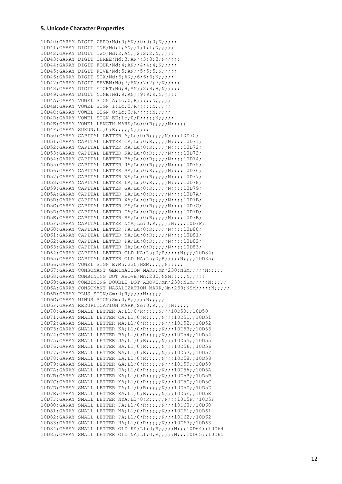#### **5. Unicode Character Properties**

10D40;GARAY DIGIT ZERO;Nd;0;AN;;0;0;0;N;;;;; 10D41;GARAY DIGIT ONE;Nd;1;AN;;1;1;1;N;;;;;; 10D42;GARAY DIGIT TWO;Nd;2;AN;;2;2;2;N;;;;; 10D43;GARAY DIGIT THREE;Nd;3;AN;;3;3;3;N;;;;; 10D44;GARAY DIGIT FOUR;Nd;4;AN;;4;4;4;N;;;;; 10D45;GARAY DIGIT FIVE;Nd;5;AN;;5;5;5;N;;;;; 10D46;GARAY DIGIT SIX;Nd;6;AN;;6;6;6;N;;;;; 10D47;GARAY DIGIT SEVEN;Nd;7;AN;;7;7;7;N;;;;;;  $10D48$ ; GARAY DIGIT EIGHT; Nd; 8; AN;;8;8;8;N;;;;;; 10D49;GARAY DIGIT NINE;Nd;9;AN;;9;9;9;N;;;;; 10D4A;GARAY VOWEL SIGN A;Lo;0;R;;;;;N;;;;; 10D4B;GARAY VOWEL SIGN I;Lo;0;R;;;;;N;;;;; 10D4C;GARAY VOWEL SIGN O;Lo;0;R;;;;;N;;;;; 10D4D;GARAY VOWEL SIGN EE;Lo;0;R;;;;;N;;;;; 10D4E;GARAY VOWEL LENGTH MARK;Lo;0;R;;;;;N;;;;; 10D4F;GARAY SUKUN;Lo;0;R;;;;;N;;;;; 10D50;GARAY CAPITAL LETTER A;Lu;0;R;;;;;N;;;;10D70; 10D51;GARAY CAPITAL LETTER CA;Lu;0;R;;;;;N;;;;10D71; 10D52;GARAY CAPITAL LETTER MA;Lu;0;R;;;;;N;;;;10D72; 10D53;GARAY CAPITAL LETTER KA;Lu;0;R;;;;;N;;;;10D73; 10D54;GARAY CAPITAL LETTER BA;Lu;0;R;;;;;N;;;;10D74; 10D55;GARAY CAPITAL LETTER JA;Lu;0;R;;;;;N;;;;10D75; 10D56;GARAY CAPITAL LETTER SA;Lu;0;R;;;;;N;;;;10D76; 10D57;GARAY CAPITAL LETTER WA;Lu;0;R;;;;;N;;;;10D77; 10D58;GARAY CAPITAL LETTER LA;Lu;0;R;;;;;N;;;;10D78; 10D59;GARAY CAPITAL LETTER GA;Lu;0;R;;;;;N;;;;10D79; 10D5A;GARAY CAPITAL LETTER DA;Lu;0;R;;;;;N;;;;10D7A; 10D5B;GARAY CAPITAL LETTER XA;Lu;0;R;;;;;N;;;;10D7B; 10D5C;GARAY CAPITAL LETTER YA;Lu;0;R;;;;;N;;;;10D7C; 10D5D;GARAY CAPITAL LETTER TA;Lu;0;R;;;;;N;;;;10D7D; 10D5E;GARAY CAPITAL LETTER RA;Lu;0;R;;;;;N;;;;10D7E; 10D5F;GARAY CAPITAL LETTER NYA;Lu;0;R;;;;;N;;;;10D7F; 10D60;GARAY CAPITAL LETTER FA;Lu;0;R;;;;;N;;;;10D80; 10D61;GARAY CAPITAL LETTER NA;Lu;0;R;;;;;N;;;;10D81; 10D62;GARAY CAPITAL LETTER PA;Lu;0;R;;;;;N;;;;10D82; 10D63;GARAY CAPITAL LETTER HA;Lu;0;R;;;;;N;;;;10D83; 10D64;GARAY CAPITAL LETTER OLD KA;Lu;0;R;;;;;N;;;;10D84; 10D65;GARAY CAPITAL LETTER OLD NA;Lu;0;R;;;;;N;;;;10D85; 10D66;GARAY VOWEL SIGN E;Mn;230;NSM;;;;;N;;;;; 10D67; GARAY CONSONANT GEMINATION MARK; Mn; 230; NSM;;;;; N;;;;; 10D68;GARAY COMBINING DOT ABOVE;Mn;230;NSM;;;;;N;;;;; 10D69;GARAY COMBINING DOUBLE DOT ABOVE;Mn;230;NSM;;;;;N;;;;; 10D6A;GARAY CONSONANT NASALIZATION MARK;Mn;230;NSM;;;;;N;;;;;  $10D6B$ ; GARAY PLUS SIGN; Sm;  $0$ ; R;;;;;;N;;;;; 10D6C;GARAY MINUS SIGN;Sm;0;R;;;;;N;;;;; 10D6F;GARAY REDUPLICATION MARK;So;0;R;;;;;N;;;;; 10D70;GARAY SMALL LETTER A;Ll;0;R;;;;;N;;;10D50;;10D50 10D71;GARAY SMALL LETTER CA;Ll;0;R;;;;;N;;;10D51;;10D51 10D72;GARAY SMALL LETTER MA;Ll;0;R;;;;;N;;;10D52;;10D52 10D73;GARAY SMALL LETTER KA;Ll;0;R;;;;;N;;;10D53;;10D53 10D74;GARAY SMALL LETTER BA;Ll;0;R;;;;;N;;;10D54;;10D54 10D75;GARAY SMALL LETTER JA;Ll;0;R;;;;;N;;;10D55;;10D55 10D76;GARAY SMALL LETTER SA;Ll;0;R;;;;;N;;;10D56;;10D56 10D77;GARAY SMALL LETTER WA;Ll;0;R;;;;;N;;;10D57;;10D57 10D78;GARAY SMALL LETTER LA;Ll;0;R;;;;;N;;;10D58;;10D58 10D79;GARAY SMALL LETTER GA;Ll;0;R;;;;;N;;;10D59;;10D59 10D7A;GARAY SMALL LETTER DA;Ll;0;R;;;;;N;;;10D5A;;10D5A 10D7B;GARAY SMALL LETTER XA;Ll;0;R;;;;;N;;;10D5B;;10D5B 10D7C;GARAY SMALL LETTER YA;Ll;0;R;;;;;N;;;10D5C;;10D5C 10D7D;GARAY SMALL LETTER TA;Ll;0;R;;;;;N;;;10D5D;;10D5D 10D7E;GARAY SMALL LETTER RA;Ll;0;R;;;;;N;;;10D5E;;10D5E 10D7F;GARAY SMALL LETTER NYA;Ll;0;R;;;;;N;;;10D5F;;10D5F 10D80;GARAY SMALL LETTER FA;Ll;0;R;;;;;N;;;10D60;;10D60 10D81;GARAY SMALL LETTER NA;Ll;0;R;;;;;N;;;10D61;;10D61 10D82;GARAY SMALL LETTER PA;Ll;0;R;;;;;N;;;10D62;;10D62 10D83;GARAY SMALL LETTER HA;Ll;0;R;;;;;N;;;10D63;;10D63 10D84;GARAY SMALL LETTER OLD KA;Ll;0;R;;;;;N;;;10D64;;10D64 10D85;GARAY SMALL LETTER OLD NA;Ll;0;R;;;;;N;;;10D65;;10D65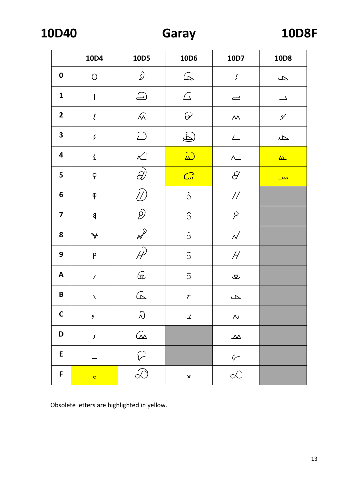**10D40** 

|                         | 10D4                        | 10D5                     | 10D6                                     | 10D7                                                                                                                                                                                                                                                                                                                                                                                                                                                              | 10D8                     |
|-------------------------|-----------------------------|--------------------------|------------------------------------------|-------------------------------------------------------------------------------------------------------------------------------------------------------------------------------------------------------------------------------------------------------------------------------------------------------------------------------------------------------------------------------------------------------------------------------------------------------------------|--------------------------|
| $\boldsymbol{0}$        | $\bigcirc$                  | $\mathcal{Q}$            | $\text{A}$                               | $\mathcal{S}% _{M_{1},M_{2}}^{\alpha,\beta}(\mathcal{M}_{M_{1},M_{2}}^{\alpha,\beta}(\mathcal{M}_{M_{1},M_{2}}^{\alpha,\beta}(\mathcal{M}_{M_{1},M_{2}}^{\alpha,\beta}(\mathcal{M}_{M_{1},M_{2}}^{\alpha,\beta}(\mathcal{M}_{M_{1},M_{2}}^{\alpha,\beta}(\mathcal{M}_{M_{1},M_{2}}^{\alpha,\beta}(\mathcal{M}_{M_{1},M_{2}}^{\alpha,\beta}(\mathcal{M}_{M_{1},M_{2}}^{\alpha,\beta}(\mathcal{M}_{M_{1},M_{2}}^{\alpha,\beta}(\mathcal{M}_{M_{1},M_{2}}^{\alpha,\$ | ىك                       |
| $\mathbf{1}$            | I                           | $\bigcirc$               | $\triangle$                              | $\overline{\phantom{a}}$                                                                                                                                                                                                                                                                                                                                                                                                                                          | $\overline{\phantom{0}}$ |
| $\overline{\mathbf{2}}$ | $\mathcal{L}_{\mathcal{L}}$ | $\widehat{\mathcal{M}}$  | $\mathcal{G}'$                           | $\boldsymbol{\mathcal{M}}$                                                                                                                                                                                                                                                                                                                                                                                                                                        | $\mathcal{S}'$           |
| 3                       | $\frac{1}{2}$               | $\bigcirc$               | $\bigoplus$                              | $\sqrt{2}$                                                                                                                                                                                                                                                                                                                                                                                                                                                        | $\Delta$                 |
| $\overline{\mathbf{4}}$ | $\acute{\text{z}}$          | $\mathcal{K}$            | $\widehat{\mathbb{D}}$                   | $\Lambda$                                                                                                                                                                                                                                                                                                                                                                                                                                                         | L                        |
| 5                       | $\varphi$                   | $\overrightarrow{C}$     | $\omega$                                 | $\mathcal G$                                                                                                                                                                                                                                                                                                                                                                                                                                                      | <u>دید </u>              |
| $\boldsymbol{6}$        | $\varphi$                   | $^{\prime\prime}$        | $\ddot{\circ}$                           | $\frac{1}{2}$                                                                                                                                                                                                                                                                                                                                                                                                                                                     |                          |
| $\overline{\mathbf{z}}$ | $\mathsf{g}$                | $\hat{\mathcal{D}}$      | $\hat{\circ}$                            | $\beta$                                                                                                                                                                                                                                                                                                                                                                                                                                                           |                          |
| 8                       | $\forall$                   | $\mathcal{N}$            | $\stackrel{\textstyle\centerdot}{\circ}$ | $\mathcal{N}$                                                                                                                                                                                                                                                                                                                                                                                                                                                     |                          |
| 9                       | P                           | $\mathcal{P}$            | $\ddot{\circ}$                           | $H\!\!\!\!/$                                                                                                                                                                                                                                                                                                                                                                                                                                                      |                          |
| A                       | $\prime$                    | $\mathbb{G}% _{n}$       | $\overline{\phi}$                        | ىك                                                                                                                                                                                                                                                                                                                                                                                                                                                                |                          |
| B                       | N                           | $\widehat{\mathbb{P}}$   | $\cal T$                                 | $\Delta$                                                                                                                                                                                                                                                                                                                                                                                                                                                          |                          |
| $\mathsf{C}$            | $\pmb{\mathfrak{y}}$        | $\mathcal{Q}$            | $\boldsymbol{\perp}$                     | $\boldsymbol{\mathop{\mathcal{N}_{}}\nolimits}$                                                                                                                                                                                                                                                                                                                                                                                                                   |                          |
| D                       | $\mathcal{S}_{\mathcal{S}}$ | $\widehat{\omega}$       |                                          | $\Delta\!\Delta$                                                                                                                                                                                                                                                                                                                                                                                                                                                  |                          |
| ${\sf E}$               |                             | $\sqrt{2}$               |                                          |                                                                                                                                                                                                                                                                                                                                                                                                                                                                   |                          |
| F                       | $\mathbf{c}$                | $\overline{\mathcal{D}}$ | $\boldsymbol{\mathsf{x}}$                | $rac{r}{\alpha}$                                                                                                                                                                                                                                                                                                                                                                                                                                                  |                          |

Obsolete letters are highlighted in yellow.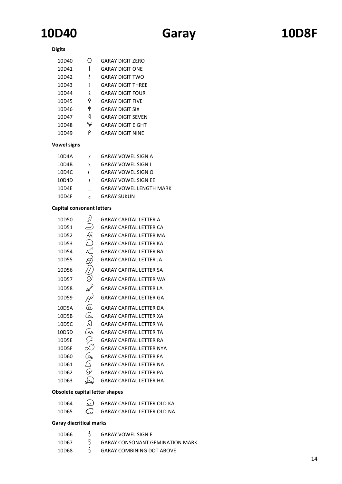# **10D40 Garay 10D8F**

## **Digits**

| 10D40 |               | GARAY DIGIT ZERO         |
|-------|---------------|--------------------------|
| 10D41 |               | GARAY DIGIT ONF          |
| 10D42 | ı             | GARAY DIGIT TWO          |
| 10D43 | ζ             | <b>GARAY DIGIT THRFF</b> |
| 10D44 | $\frac{1}{2}$ | <b>GARAY DIGIT FOUR</b>  |
| 10D45 | q             | <b>GARAY DIGIT FIVE</b>  |
| 10D46 | φ             | GARAY DIGIT SIX          |
| 10D47 | g             | <b>GARAY DIGIT SFVEN</b> |
| 10D48 | v             | <b>GARAY DIGIT EIGHT</b> |
| 10D49 | ρ             | <b>GARAY DIGIT NINF</b>  |

### **Vowel signs**

| 10D4A |   | GARAY VOWEL SIGN A             |
|-------|---|--------------------------------|
| 10D4B |   | <b>GARAY VOWEL SIGN I</b>      |
| 10D4C |   | GARAY VOWEL SIGN O             |
| 10D4D | s | <b>GARAY VOWEL SIGN EE</b>     |
| 10D4E |   | <b>GARAY VOWEL LENGTH MARK</b> |
| 10D4F | r | <b>GARAY SUKUN</b>             |

## **Capital consonant letters**

| 10D50             | D                     | <b>GARAY CAPITAL LETTER A</b>   |
|-------------------|-----------------------|---------------------------------|
| 10D51             | $\bigcirc$            | <b>GARAY CAPITAL LETTER CA</b>  |
| 10D <sub>52</sub> | ∕∧                    | <b>GARAY CAPITAL LETTER MA</b>  |
| 10D53             | $\curvearrowleft$     | <b>GARAY CAPITAL LETTER KA</b>  |
| 10D54             |                       | <b>GARAY CAPITAL LETTER BA</b>  |
| 10D55             |                       | <b>GARAY CAPITAL LETTER JA</b>  |
| 10D56             |                       | <b>GARAY CAPITAL LETTER SA</b>  |
| 10D57             | €<br>R                | <b>GARAY CAPITAL LETTER WA</b>  |
| 10D58             |                       | <b>GARAY CAPITAL LETTER LA</b>  |
| 10D59             |                       | <b>GARAY CAPITAL LETTER GA</b>  |
| 10D5A             | Q                     | <b>GARAY CAPITAL LETTER DA</b>  |
| 10D5B             | $\widehat{\triangle}$ | <b>GARAY CAPITAL LETTER XA</b>  |
| 10D5C             | λ                     | <b>GARAY CAPITAL LETTER YA</b>  |
| 10D5D             | ͡∆                    | <b>GARAY CAPITAL LETTER TA</b>  |
| 10D5E             | نیر کی                | <b>GARAY CAPITAL LETTER RA</b>  |
| 10D5F             |                       | <b>GARAY CAPITAL LETTER NYA</b> |
| 10D60             | ͡                     | <b>GARAY CAPITAL LETTER FA</b>  |
| 10D61             | $\tilde{\lambda}$     | <b>GARAY CAPITAL LETTER NA</b>  |
| 10D62             | نټَ                   | <b>GARAY CAPITAL LETTER PA</b>  |
| 10D63             |                       | GARAY CAPITAL LETTER HA         |
|                   |                       |                                 |

### **Obsolete capital letter shapes**

| 10D64 | $\widehat{w}$ | <b>GARAY CAPITAL LETTER OLD KA</b> |
|-------|---------------|------------------------------------|
| 10D65 |               | $CW$ GARAY CAPITAL LETTER OLD NA   |

## **Garay diacritical marks**

| 10D66 | ∩              | <b>GARAY VOWEL SIGN E</b>              |
|-------|----------------|----------------------------------------|
| 10D67 | $\hat{\alpha}$ | <b>GARAY CONSONANT GEMINATION MARK</b> |
| 10D68 | $\cap$         | <b>GARAY COMBINING DOT ABOVE</b>       |